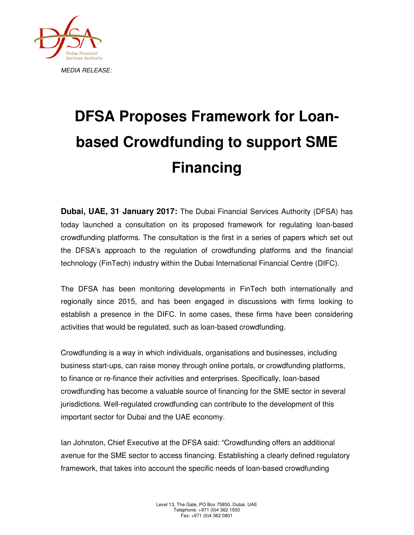

## **DFSA Proposes Framework for Loanbased Crowdfunding to support SME Financing**

**Dubai, UAE, 31 January 2017:** The Dubai Financial Services Authority (DFSA) has today launched a consultation on its proposed framework for regulating loan-based crowdfunding platforms. The consultation is the first in a series of papers which set out the DFSA's approach to the regulation of crowdfunding platforms and the financial technology (FinTech) industry within the Dubai International Financial Centre (DIFC).

The DFSA has been monitoring developments in FinTech both internationally and regionally since 2015, and has been engaged in discussions with firms looking to establish a presence in the DIFC. In some cases, these firms have been considering activities that would be regulated, such as loan-based crowdfunding.

Crowdfunding is a way in which individuals, organisations and businesses, including business start-ups, can raise money through online portals, or crowdfunding platforms, to finance or re-finance their activities and enterprises. Specifically, loan-based crowdfunding has become a valuable source of financing for the SME sector in several jurisdictions. Well-regulated crowdfunding can contribute to the development of this important sector for Dubai and the UAE economy.

Ian Johnston, Chief Executive at the DFSA said: "Crowdfunding offers an additional avenue for the SME sector to access financing. Establishing a clearly defined regulatory framework, that takes into account the specific needs of loan-based crowdfunding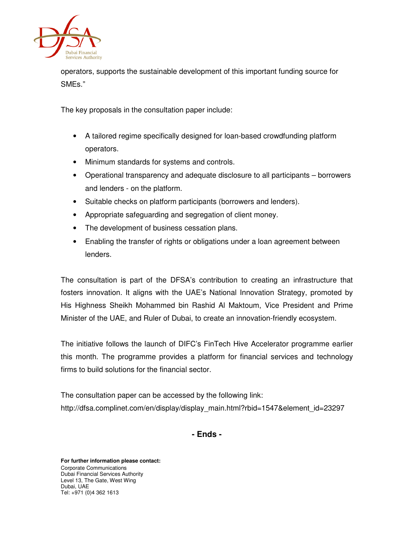

operators, supports the sustainable development of this important funding source for SMEs."

The key proposals in the consultation paper include:

- A tailored regime specifically designed for loan-based crowdfunding platform operators.
- Minimum standards for systems and controls.
- Operational transparency and adequate disclosure to all participants borrowers and lenders - on the platform.
- Suitable checks on platform participants (borrowers and lenders).
- Appropriate safeguarding and segregation of client money.
- The development of business cessation plans.
- Enabling the transfer of rights or obligations under a loan agreement between lenders.

The consultation is part of the DFSA's contribution to creating an infrastructure that fosters innovation. It aligns with the UAE's National Innovation Strategy, promoted by His Highness Sheikh Mohammed bin Rashid Al Maktoum, Vice President and Prime Minister of the UAE, and Ruler of Dubai, to create an innovation-friendly ecosystem.

The initiative follows the launch of DIFC's FinTech Hive Accelerator programme earlier this month. The programme provides a platform for financial services and technology firms to build solutions for the financial sector.

The consultation paper can be accessed by the following link: http://dfsa.complinet.com/en/display/display\_main.html?rbid=1547&element\_id=23297

**- Ends -**

**For further information please contact:**  Corporate Communications Dubai Financial Services Authority Level 13, The Gate, West Wing Dubai, UAE Tel: +971 (0)4 362 1613